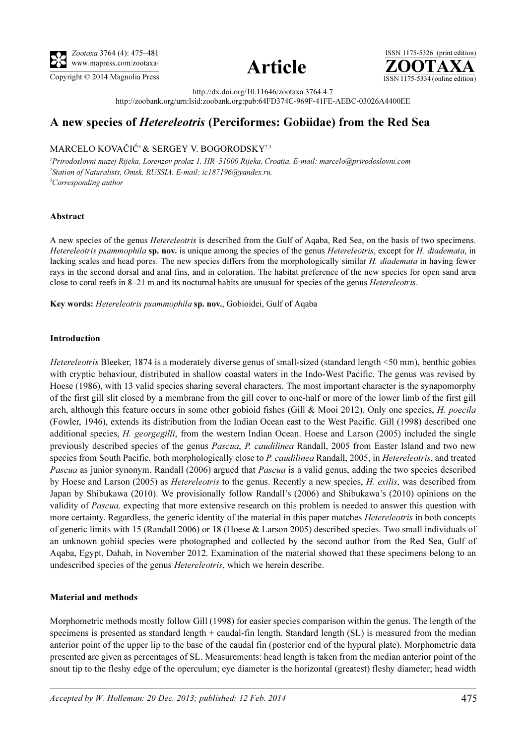





http://dx.doi.org/10.11646/zootaxa.3764.4.7

http://zoobank.org/urn:lsid:zoobank.org:pub:64FD374C-969F-41FE-AEBC-03026A4400EE

# A new species of Hetereleotris (Perciformes: Gobiidae) from the Red Sea

# MARCELO KOVAČIĆ<sup>1</sup>& SERGEY V. BOGORODSKY2,3

<sup>1</sup>Prirodoslovni muzej Rijeka, Lorenzov prolaz 1, HR–51000 Rijeka, Croatia. E-mail: marcelo@prirodoslovni.com <sup>2</sup>Station of Naturalists, Omsk, RUSSIA. E-mail: ic187196@yandex.ru. <sup>3</sup>Corresponding author

## Abstract

A new species of the genus Hetereleotris is described from the Gulf of Aqaba, Red Sea, on the basis of two specimens. Hetereleotris psammophila sp. nov. is unique among the species of the genus Hetereleotris, except for H. diademata, in lacking scales and head pores. The new species differs from the morphologically similar H. diademata in having fewer rays in the second dorsal and anal fins, and in coloration. The habitat preference of the new species for open sand area close to coral reefs in 8–21 m and its nocturnal habits are unusual for species of the genus *Hetereleotris*.

Key words: Hetereleotris psammophila sp. nov., Gobioidei, Gulf of Aqaba

## Introduction

Hetereleotris Bleeker, 1874 is a moderately diverse genus of small-sized (standard length <50 mm), benthic gobies with cryptic behaviour, distributed in shallow coastal waters in the Indo-West Pacific. The genus was revised by Hoese (1986), with 13 valid species sharing several characters. The most important character is the synapomorphy of the first gill slit closed by a membrane from the gill cover to one-half or more of the lower limb of the first gill arch, although this feature occurs in some other gobioid fishes (Gill & Mooi 2012). Only one species, H. poecila (Fowler, 1946), extends its distribution from the Indian Ocean east to the West Pacific. Gill (1998) described one additional species, H. georgegilli, from the western Indian Ocean. Hoese and Larson (2005) included the single previously described species of the genus Pascua, P. caudilinea Randall, 2005 from Easter Island and two new species from South Pacific, both morphologically close to P. caudilinea Randall, 2005, in Hetereleotris, and treated Pascua as junior synonym. Randall (2006) argued that Pascua is a valid genus, adding the two species described by Hoese and Larson (2005) as *Hetereleotris* to the genus. Recently a new species, *H. exilis*, was described from Japan by Shibukawa (2010). We provisionally follow Randall's (2006) and Shibukawa's (2010) opinions on the validity of Pascua, expecting that more extensive research on this problem is needed to answer this question with more certainty. Regardless, the generic identity of the material in this paper matches *Hetereleotris* in both concepts of generic limits with 15 (Randall 2006) or 18 (Hoese & Larson 2005) described species. Two small individuals of an unknown gobiid species were photographed and collected by the second author from the Red Sea, Gulf of Aqaba, Egypt, Dahab, in November 2012. Examination of the material showed that these specimens belong to an undescribed species of the genus Hetereleotris, which we herein describe.

# Material and methods

Morphometric methods mostly follow Gill (1998) for easier species comparison within the genus. The length of the specimens is presented as standard length + caudal-fin length. Standard length (SL) is measured from the median anterior point of the upper lip to the base of the caudal fin (posterior end of the hypural plate). Morphometric data presented are given as percentages of SL. Measurements: head length is taken from the median anterior point of the snout tip to the fleshy edge of the operculum; eye diameter is the horizontal (greatest) fleshy diameter; head width